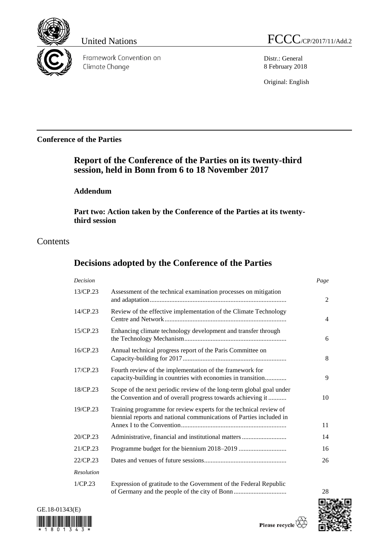

Framework Convention on Climate Change

United Nations FCCC/CP/2017/11/Add.2

Distr.: General 8 February 2018

Original: English

# **Conference of the Parties**

# **Report of the Conference of the Parties on its twenty-third session, held in Bonn from 6 to 18 November 2017**

# **Addendum**

**Part two: Action taken by the Conference of the Parties at its twentythird session**

# **Contents**

# **Decisions adopted by the Conference of the Parties**

| Decision          |                                                                                                                                          | Page           |
|-------------------|------------------------------------------------------------------------------------------------------------------------------------------|----------------|
| 13/CP.23          | Assessment of the technical examination processes on mitigation                                                                          | 2              |
| 14/CP.23          | Review of the effective implementation of the Climate Technology                                                                         | $\overline{4}$ |
| 15/CP.23          | Enhancing climate technology development and transfer through                                                                            | 6              |
| $16$ /CP.23       | Annual technical progress report of the Paris Committee on                                                                               | 8              |
| 17/CP.23          | Fourth review of the implementation of the framework for<br>capacity-building in countries with economies in transition                  | 9              |
| 18/CP.23          | Scope of the next periodic review of the long-term global goal under<br>the Convention and of overall progress towards achieving it      | 10             |
| $19$ /CP.23       | Training programme for review experts for the technical review of<br>biennial reports and national communications of Parties included in | 11             |
| 20/CP.23          | Administrative, financial and institutional matters                                                                                      | 14             |
| 21/CP.23          |                                                                                                                                          | 16             |
| 22/CP.23          |                                                                                                                                          | 26             |
| <b>Resolution</b> |                                                                                                                                          |                |
| 1/CP.23           | Expression of gratitude to the Government of the Federal Republic                                                                        |                |





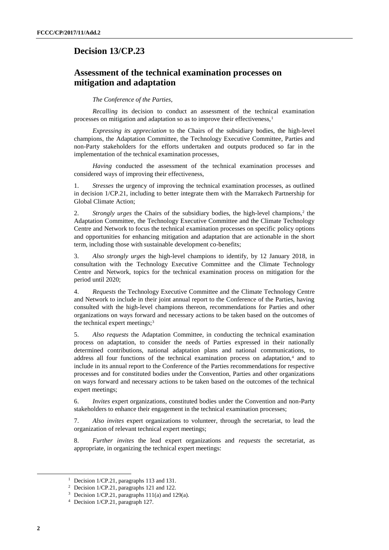# **Decision 13/CP.23**

# **Assessment of the technical examination processes on mitigation and adaptation**

### *The Conference of the Parties*,

*Recalling* its decision to conduct an assessment of the technical examination processes on mitigation and adaptation so as to improve their effectiveness.<sup>1</sup>

*Expressing its appreciation* to the Chairs of the subsidiary bodies, the high-level champions, the Adaptation Committee, the Technology Executive Committee, Parties and non-Party stakeholders for the efforts undertaken and outputs produced so far in the implementation of the technical examination processes,

*Having* conducted the assessment of the technical examination processes and considered ways of improving their effectiveness,

1. *Stresses* the urgency of improving the technical examination processes, as outlined in decision 1/CP.21, including to better integrate them with the Marrakech Partnership for Global Climate Action;

2. *Strongly urges* the Chairs of the subsidiary bodies, the high-level champions,<sup>2</sup> the Adaptation Committee, the Technology Executive Committee and the Climate Technology Centre and Network to focus the technical examination processes on specific policy options and opportunities for enhancing mitigation and adaptation that are actionable in the short term, including those with sustainable development co-benefits;

3. *Also strongly urges* the high-level champions to identify, by 12 January 2018, in consultation with the Technology Executive Committee and the Climate Technology Centre and Network, topics for the technical examination process on mitigation for the period until 2020;

4. *Requests* the Technology Executive Committee and the Climate Technology Centre and Network to include in their joint annual report to the Conference of the Parties, having consulted with the high-level champions thereon, recommendations for Parties and other organizations on ways forward and necessary actions to be taken based on the outcomes of the technical expert meetings;<sup>3</sup>

5. *Also requests* the Adaptation Committee, in conducting the technical examination process on adaptation, to consider the needs of Parties expressed in their nationally determined contributions, national adaptation plans and national communications, to address all four functions of the technical examination process on adaptation,<sup>4</sup> and to include in its annual report to the Conference of the Parties recommendations for respective processes and for constituted bodies under the Convention, Parties and other organizations on ways forward and necessary actions to be taken based on the outcomes of the technical expert meetings;

6. *Invites* expert organizations, constituted bodies under the Convention and non-Party stakeholders to enhance their engagement in the technical examination processes;

7. *Also invites* expert organizations to volunteer, through the secretariat, to lead the organization of relevant technical expert meetings;

8. *Further invites* the lead expert organizations and *requests* the secretariat, as appropriate, in organizing the technical expert meetings:

1

<sup>&</sup>lt;sup>1</sup> Decision 1/CP.21, paragraphs 113 and 131.

<sup>2</sup> Decision 1/CP.21, paragraphs 121 and 122.

<sup>&</sup>lt;sup>3</sup> Decision 1/CP.21, paragraphs  $111(a)$  and  $129(a)$ .

<sup>4</sup> Decision 1/CP.21, paragraph 127.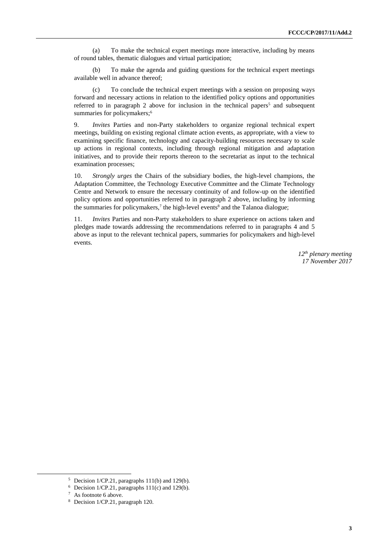(a) To make the technical expert meetings more interactive, including by means of round tables, thematic dialogues and virtual participation;

(b) To make the agenda and guiding questions for the technical expert meetings available well in advance thereof;

(c) To conclude the technical expert meetings with a session on proposing ways forward and necessary actions in relation to the identified policy options and opportunities referred to in paragraph 2 above for inclusion in the technical papers<sup>5</sup> and subsequent summaries for policymakers;<sup>6</sup>

9. *Invites* Parties and non-Party stakeholders to organize regional technical expert meetings, building on existing regional climate action events, as appropriate, with a view to examining specific finance, technology and capacity-building resources necessary to scale up actions in regional contexts, including through regional mitigation and adaptation initiatives, and to provide their reports thereon to the secretariat as input to the technical examination processes;

10. *Strongly urges* the Chairs of the subsidiary bodies, the high-level champions, the Adaptation Committee, the Technology Executive Committee and the Climate Technology Centre and Network to ensure the necessary continuity of and follow-up on the identified policy options and opportunities referred to in paragraph 2 above, including by informing the summaries for policymakers,<sup>7</sup> the high-level events<sup>8</sup> and the Talanoa dialogue;

11. *Invites* Parties and non-Party stakeholders to share experience on actions taken and pledges made towards addressing the recommendations referred to in paragraphs 4 and 5 above as input to the relevant technical papers, summaries for policymakers and high-level events.

> *12th plenary meeting 17 November 2017*

1

<sup>5</sup> Decision 1/CP.21, paragraphs 111(b) and 129(b).

 $6$  Decision 1/CP.21, paragraphs 111(c) and 129(b).

<sup>7</sup> As footnote 6 above.

<sup>8</sup> Decision 1/CP.21, paragraph 120.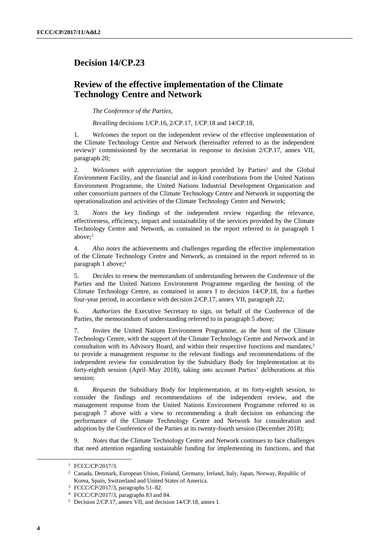# **Decision 14/CP.23**

# **Review of the effective implementation of the Climate Technology Centre and Network**

*The Conference of the Parties*,

*Recalling* decisions 1/CP.16, 2/CP.17, 1/CP.18 and 14/CP.18,

1. *Welcomes* the report on the independent review of the effective implementation of the Climate Technology Centre and Network (hereinafter referred to as the independent review)<sup>1</sup> commissioned by the secretariat in response to decision  $2/CP.17$ , annex VII, paragraph 20;

2. *Welcomes with appreciation* the support provided by Parties<sup>2</sup> and the Global Environment Facility, and the financial and in-kind contributions from the United Nations Environment Programme, the United Nations Industrial Development Organization and other consortium partners of the Climate Technology Centre and Network in supporting the operationalization and activities of the Climate Technology Centre and Network;

3. *Notes* the key findings of the independent review regarding the relevance, effectiveness, efficiency, impact and sustainability of the services provided by the Climate Technology Centre and Network, as contained in the report referred to in paragraph 1 above;<sup>3</sup>

4. *Also notes* the achievements and challenges regarding the effective implementation of the Climate Technology Centre and Network, as contained in the report referred to in paragraph 1 above;<sup>4</sup>

5. *Decides* to renew the memorandum of understanding between the Conference of the Parties and the United Nations Environment Programme regarding the hosting of the Climate Technology Centre, as contained in annex I to decision 14/CP.18, for a further four-year period, in accordance with decision 2/CP.17, annex VII, paragraph 22;

6. *Authorizes* the Executive Secretary to sign, on behalf of the Conference of the Parties, the memorandum of understanding referred to in paragraph 5 above;

7. *Invites* the United Nations Environment Programme, as the host of the Climate Technology Centre, with the support of the Climate Technology Centre and Network and in consultation with its Advisory Board, and within their respective functions and mandates,<sup>5</sup> to provide a management response to the relevant findings and recommendations of the independent review for consideration by the Subsidiary Body for Implementation at its forty-eighth session (April–May 2018), taking into account Parties' deliberations at this session;

8. *Requests* the Subsidiary Body for Implementation, at its forty-eighth session, to consider the findings and recommendations of the independent review, and the management response from the United Nations Environment Programme referred to in paragraph 7 above with a view to recommending a draft decision on enhancing the performance of the Climate Technology Centre and Network for consideration and adoption by the Conference of the Parties at its twenty-fourth session (December 2018);

9. *Notes* that the Climate Technology Centre and Network continues to face challenges that need attention regarding sustainable funding for implementing its functions, and that

-

<sup>1</sup> FCCC/CP/2017/3.

<sup>2</sup> Canada, Denmark, European Union, Finland, Germany, Ireland, Italy, Japan, Norway, Republic of Korea, Spain, Switzerland and United States of America.

<sup>3</sup> FCCC/CP/2017/3, paragraphs 51–82.

<sup>4</sup> FCCC/CP/2017/3, paragraphs 83 and 84.

<sup>5</sup> Decision 2/CP.17, annex VII, and decision 14/CP.18, annex I.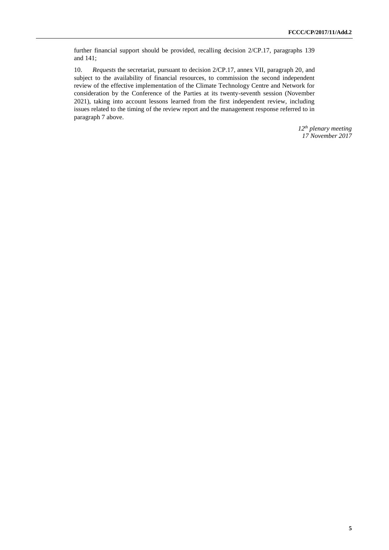further financial support should be provided, recalling decision 2/CP.17, paragraphs 139 and 141;

10. *Requests* the secretariat, pursuant to decision 2/CP.17, annex VII, paragraph 20*,* and subject to the availability of financial resources, to commission the second independent review of the effective implementation of the Climate Technology Centre and Network for consideration by the Conference of the Parties at its twenty-seventh session (November 2021), taking into account lessons learned from the first independent review, including issues related to the timing of the review report and the management response referred to in paragraph 7 above.

> *12th plenary meeting 17 November 2017*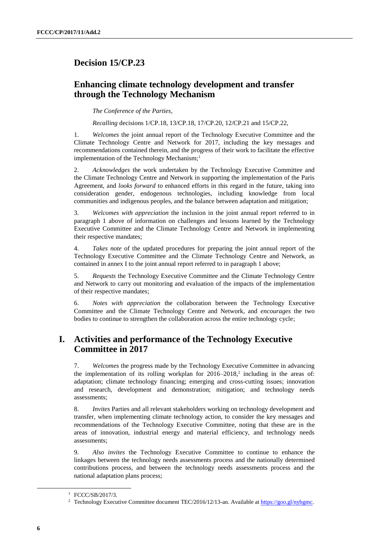# **Decision 15/CP.23**

# **Enhancing climate technology development and transfer through the Technology Mechanism**

*The Conference of the Parties*,

*Recalling* decisions 1/CP.18, 13/CP.18, 17/CP.20, 12/CP.21 and 15/CP.22,

1. *Welcomes* the joint annual report of the Technology Executive Committee and the Climate Technology Centre and Network for 2017, including the key messages and recommendations contained therein, and the progress of their work to facilitate the effective implementation of the Technology Mechanism;<sup>1</sup>

2. *Acknowledges* the work undertaken by the Technology Executive Committee and the Climate Technology Centre and Network in supporting the implementation of the Paris Agreement, and *looks forward* to enhanced efforts in this regard in the future, taking into consideration gender, endogenous technologies, including knowledge from local communities and indigenous peoples, and the balance between adaptation and mitigation;

3. *Welcomes with appreciation* the inclusion in the joint annual report referred to in paragraph 1 above of information on challenges and lessons learned by the Technology Executive Committee and the Climate Technology Centre and Network in implementing their respective mandates;

4. *Takes note* of the updated procedures for preparing the joint annual report of the Technology Executive Committee and the Climate Technology Centre and Network, as contained in annex I to the joint annual report referred to in paragraph 1 above;

5. *Requests* the Technology Executive Committee and the Climate Technology Centre and Network to carry out monitoring and evaluation of the impacts of the implementation of their respective mandates;

6. *Notes with appreciation* the collaboration between the Technology Executive Committee and the Climate Technology Centre and Network, and *encourages* the two bodies to continue to strengthen the collaboration across the entire technology cycle;

# **I. Activities and performance of the Technology Executive Committee in 2017**

7. *Welcomes* the progress made by the Technology Executive Committee in advancing the implementation of its rolling workplan for  $2016-2018$ ,<sup>2</sup> including in the areas of: adaptation; climate technology financing; emerging and cross-cutting issues; innovation and research, development and demonstration; mitigation; and technology needs assessments;

8. *Invites* Parties and all relevant stakeholders working on technology development and transfer, when implementing climate technology action, to consider the key messages and recommendations of the Technology Executive Committee, noting that these are in the areas of innovation, industrial energy and material efficiency, and technology needs assessments;

9. *Also invites* the Technology Executive Committee to continue to enhance the linkages between the technology needs assessments process and the nationally determined contributions process, and between the technology needs assessments process and the national adaptation plans process;

-

<sup>&</sup>lt;sup>1</sup> FCCC/SB/2017/3.

<sup>&</sup>lt;sup>2</sup> Technology Executive Committee document TEC/2016/12/13-an. Available a[t https://goo.gl/nybgmc.](https://goo.gl/nybgmc)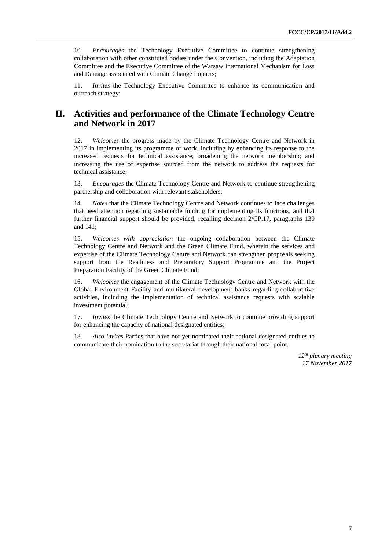10. *Encourages* the Technology Executive Committee to continue strengthening collaboration with other constituted bodies under the Convention, including the Adaptation Committee and the Executive Committee of the Warsaw International Mechanism for Loss and Damage associated with Climate Change Impacts;

11. *Invites* the Technology Executive Committee to enhance its communication and outreach strategy;

# **II. Activities and performance of the Climate Technology Centre and Network in 2017**

12. *Welcomes* the progress made by the Climate Technology Centre and Network in 2017 in implementing its programme of work, including by enhancing its response to the increased requests for technical assistance; broadening the network membership; and increasing the use of expertise sourced from the network to address the requests for technical assistance;

13. *Encourages* the Climate Technology Centre and Network to continue strengthening partnership and collaboration with relevant stakeholders;

14. *Notes* that the Climate Technology Centre and Network continues to face challenges that need attention regarding sustainable funding for implementing its functions, and that further financial support should be provided, recalling decision 2/CP.17, paragraphs 139 and 141;

15. *Welcomes with appreciation* the ongoing collaboration between the Climate Technology Centre and Network and the Green Climate Fund, wherein the services and expertise of the Climate Technology Centre and Network can strengthen proposals seeking support from the Readiness and Preparatory Support Programme and the Project Preparation Facility of the Green Climate Fund;

16. *Welcomes* the engagement of the Climate Technology Centre and Network with the Global Environment Facility and multilateral development banks regarding collaborative activities, including the implementation of technical assistance requests with scalable investment potential;

17. *Invites* the Climate Technology Centre and Network to continue providing support for enhancing the capacity of national designated entities;

18. *Also invites* Parties that have not yet nominated their national designated entities to communicate their nomination to the secretariat through their national focal point.

> *12th plenary meeting 17 November 2017*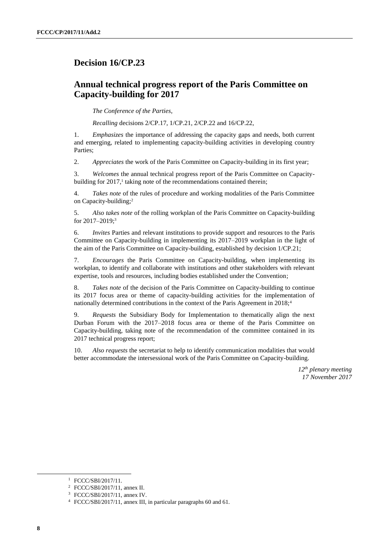# **Decision 16/CP.23**

# **Annual technical progress report of the Paris Committee on Capacity-building for 2017**

*The Conference of the Parties*,

*Recalling* decisions 2/CP.17, 1/CP.21, 2/CP.22 and 16/CP.22,

1. *Emphasizes* the importance of addressing the capacity gaps and needs, both current and emerging, related to implementing capacity-building activities in developing country Parties;

2. *Appreciates* the work of the Paris Committee on Capacity-building in its first year;

3. *Welcomes* the annual technical progress report of the Paris Committee on Capacitybuilding for 2017,<sup>1</sup> taking note of the recommendations contained therein;

4. *Takes note* of the rules of procedure and working modalities of the Paris Committee on Capacity-building;<sup>2</sup>

5. *Also takes note* of the rolling workplan of the Paris Committee on Capacity-building for 2017–2019;<sup>3</sup>

6. *Invites* Parties and relevant institutions to provide support and resources to the Paris Committee on Capacity-building in implementing its 2017–2019 workplan in the light of the aim of the Paris Committee on Capacity-building, established by decision 1/CP.21;

7. *Encourages* the Paris Committee on Capacity-building, when implementing its workplan, to identify and collaborate with institutions and other stakeholders with relevant expertise, tools and resources, including bodies established under the Convention;

8. *Takes note* of the decision of the Paris Committee on Capacity-building to continue its 2017 focus area or theme of capacity-building activities for the implementation of nationally determined contributions in the context of the Paris Agreement in 2018;<sup>4</sup>

9. *Requests* the Subsidiary Body for Implementation to thematically align the next Durban Forum with the 2017–2018 focus area or theme of the Paris Committee on Capacity-building, taking note of the recommendation of the committee contained in its 2017 technical progress report;

10. *Also requests* the secretariat to help to identify communication modalities that would better accommodate the intersessional work of the Paris Committee on Capacity-building.

> *12th plenary meeting 17 November 2017*

1

<sup>1</sup> FCCC/SBI/2017/11.

<sup>2</sup> FCCC/SBI/2017/11, annex II.

<sup>3</sup> FCCC/SBI/2017/11, annex IV.

<sup>4</sup> FCCC/SBI/2017/11, annex III, in particular paragraphs 60 and 61.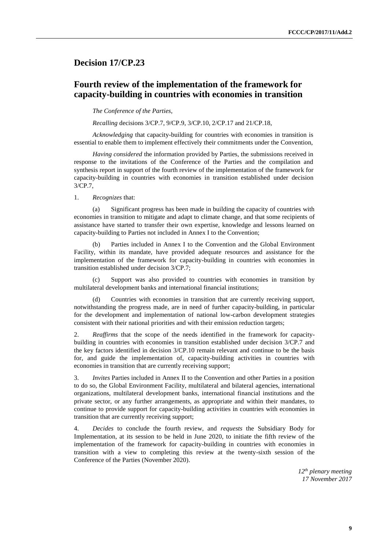# **Decision 17/CP.23**

# **Fourth review of the implementation of the framework for capacity-building in countries with economies in transition**

*The Conference of the Parties*,

*Recalling* decisions 3/CP.7, 9/CP.9, 3/CP.10, 2/CP.17 and 21/CP.18,

*Acknowledging* that capacity-building for countries with economies in transition is essential to enable them to implement effectively their commitments under the Convention,

*Having considered* the information provided by Parties, the submissions received in response to the invitations of the Conference of the Parties and the compilation and synthesis report in support of the fourth review of the implementation of the framework for capacity-building in countries with economies in transition established under decision 3/CP.7,

1. *Recognizes* that:

(a) Significant progress has been made in building the capacity of countries with economies in transition to mitigate and adapt to climate change, and that some recipients of assistance have started to transfer their own expertise, knowledge and lessons learned on capacity-building to Parties not included in Annex I to the Convention;

(b) Parties included in Annex I to the Convention and the Global Environment Facility, within its mandate, have provided adequate resources and assistance for the implementation of the framework for capacity-building in countries with economies in transition established under decision 3/CP.7;

(c) Support was also provided to countries with economies in transition by multilateral development banks and international financial institutions;

(d) Countries with economies in transition that are currently receiving support, notwithstanding the progress made, are in need of further capacity-building, in particular for the development and implementation of national low-carbon development strategies consistent with their national priorities and with their emission reduction targets;

2. *Reaffirms* that the scope of the needs identified in the framework for capacitybuilding in countries with economies in transition established under decision 3/CP.7 and the key factors identified in decision 3/CP.10 remain relevant and continue to be the basis for, and guide the implementation of, capacity-building activities in countries with economies in transition that are currently receiving support;

3. *Invites* Parties included in Annex II to the Convention and other Parties in a position to do so, the Global Environment Facility, multilateral and bilateral agencies, international organizations, multilateral development banks, international financial institutions and the private sector, or any further arrangements, as appropriate and within their mandates, to continue to provide support for capacity-building activities in countries with economies in transition that are currently receiving support;

4. *Decides* to conclude the fourth review, and *requests* the Subsidiary Body for Implementation, at its session to be held in June 2020, to initiate the fifth review of the implementation of the framework for capacity-building in countries with economies in transition with a view to completing this review at the twenty-sixth session of the Conference of the Parties (November 2020).

> *12th plenary meeting 17 November 2017*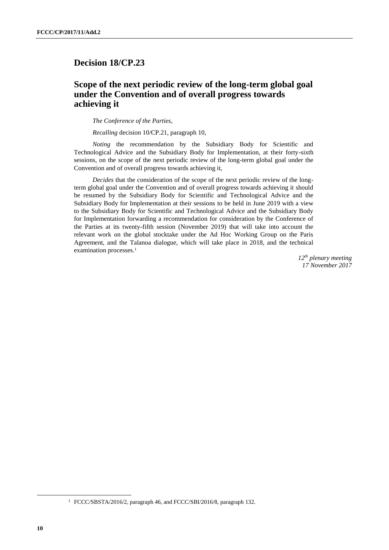# **Decision 18/CP.23**

# **Scope of the next periodic review of the long-term global goal under the Convention and of overall progress towards achieving it**

*The Conference of the Parties*,

*Recalling* decision 10/CP.21, paragraph 10,

*Noting* the recommendation by the Subsidiary Body for Scientific and Technological Advice and the Subsidiary Body for Implementation, at their forty-sixth sessions, on the scope of the next periodic review of the long-term global goal under the Convention and of overall progress towards achieving it,

*Decides* that the consideration of the scope of the next periodic review of the longterm global goal under the Convention and of overall progress towards achieving it should be resumed by the Subsidiary Body for Scientific and Technological Advice and the Subsidiary Body for Implementation at their sessions to be held in June 2019 with a view to the Subsidiary Body for Scientific and Technological Advice and the Subsidiary Body for Implementation forwarding a recommendation for consideration by the Conference of the Parties at its twenty-fifth session (November 2019) that will take into account the relevant work on the global stocktake under the Ad Hoc Working Group on the Paris Agreement, and the Talanoa dialogue, which will take place in 2018, and the technical examination processes.<sup>1</sup>

> *12th plenary meeting 17 November 2017*

 $\overline{a}$ 

<sup>&</sup>lt;sup>1</sup> FCCC/SBSTA/2016/2, paragraph 46, and FCCC/SBI/2016/8, paragraph 132.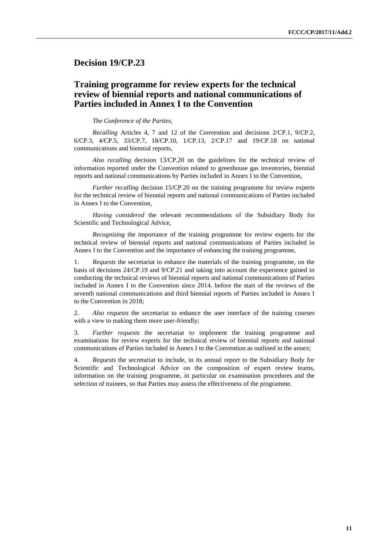## **Decision 19/CP.23**

# **Training programme for review experts for the technical review of biennial reports and national communications of Parties included in Annex I to the Convention**

*The Conference of the Parties*,

*Recalling* Articles 4, 7 and 12 of the Convention and decisions 2/CP.1, 9/CP.2, 6/CP.3, 4/CP.5, 33/CP.7, 18/CP.10, 1/CP.13, 2/CP.17 and 19/CP.18 on national communications and biennial reports,

*Also recalling* decision 13/CP.20 on the guidelines for the technical review of information reported under the Convention related to greenhouse gas inventories, biennial reports and national communications by Parties included in Annex I to the Convention,

*Further recalling* decision 15/CP.20 on the training programme for review experts for the technical review of biennial reports and national communications of Parties included in Annex I to the Convention,

*Having considered* the relevant recommendations of the Subsidiary Body for Scientific and Technological Advice,

*Recognizing* the importance of the training programme for review experts for the technical review of biennial reports and national communications of Parties included in Annex I to the Convention and the importance of enhancing the training programme,

1. *Requests* the secretariat to enhance the materials of the training programme, on the basis of decisions 24/CP.19 and 9/CP.21 and taking into account the experience gained in conducting the technical reviews of biennial reports and national communications of Parties included in Annex I to the Convention since 2014, before the start of the reviews of the seventh national communications and third biennial reports of Parties included in Annex I to the Convention in 2018;

2. *Also requests* the secretariat to enhance the user interface of the training courses with a view to making them more user-friendly;

3. *Further requests* the secretariat to implement the training programme and examinations for review experts for the technical review of biennial reports and national communications of Parties included in Annex I to the Convention as outlined in the annex;

4. *Requests* the secretariat to include, in its annual report to the Subsidiary Body for Scientific and Technological Advice on the composition of expert review teams, information on the training programme, in particular on examination procedures and the selection of trainees, so that Parties may assess the effectiveness of the programme.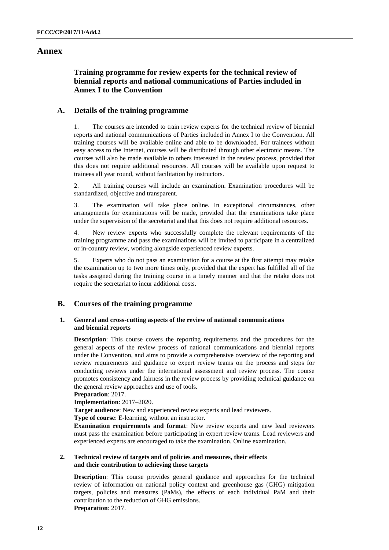## **Annex**

## **Training programme for review experts for the technical review of biennial reports and national communications of Parties included in Annex I to the Convention**

## **A. Details of the training programme**

1. The courses are intended to train review experts for the technical review of biennial reports and national communications of Parties included in Annex I to the Convention. All training courses will be available online and able to be downloaded. For trainees without easy access to the Internet, courses will be distributed through other electronic means. The courses will also be made available to others interested in the review process, provided that this does not require additional resources. All courses will be available upon request to trainees all year round, without facilitation by instructors.

2. All training courses will include an examination. Examination procedures will be standardized, objective and transparent.

3. The examination will take place online. In exceptional circumstances, other arrangements for examinations will be made, provided that the examinations take place under the supervision of the secretariat and that this does not require additional resources.

4. New review experts who successfully complete the relevant requirements of the training programme and pass the examinations will be invited to participate in a centralized or in-country review, working alongside experienced review experts.

5. Experts who do not pass an examination for a course at the first attempt may retake the examination up to two more times only, provided that the expert has fulfilled all of the tasks assigned during the training course in a timely manner and that the retake does not require the secretariat to incur additional costs.

## **B. Courses of the training programme**

### **1. General and cross-cutting aspects of the review of national communications and biennial reports**

**Description**: This course covers the reporting requirements and the procedures for the general aspects of the review process of national communications and biennial reports under the Convention, and aims to provide a comprehensive overview of the reporting and review requirements and guidance to expert review teams on the process and steps for conducting reviews under the international assessment and review process. The course promotes consistency and fairness in the review process by providing technical guidance on the general review approaches and use of tools.

**Preparation**: 2017.

**Implementation**: 2017–2020.

**Target audience**: New and experienced review experts and lead reviewers.

**Type of course**: E-learning, without an instructor.

**Examination requirements and format**: New review experts and new lead reviewers must pass the examination before participating in expert review teams. Lead reviewers and experienced experts are encouraged to take the examination. Online examination.

### **2. Technical review of targets and of policies and measures, their effects and their contribution to achieving those targets**

**Description**: This course provides general guidance and approaches for the technical review of information on national policy context and greenhouse gas (GHG) mitigation targets, policies and measures (PaMs), the effects of each individual PaM and their contribution to the reduction of GHG emissions.

**Preparation**: 2017.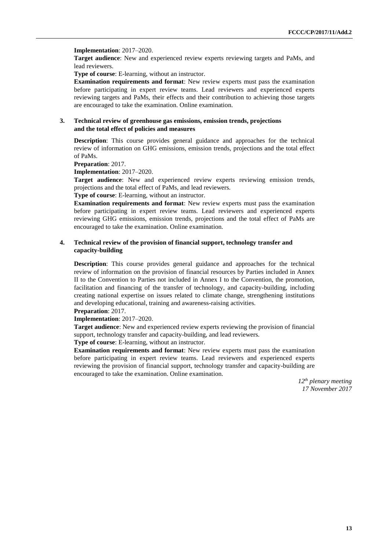#### **Implementation**: 2017–2020.

**Target audience**: New and experienced review experts reviewing targets and PaMs, and lead reviewers.

**Type of course**: E-learning, without an instructor.

**Examination requirements and format**: New review experts must pass the examination before participating in expert review teams. Lead reviewers and experienced experts reviewing targets and PaMs, their effects and their contribution to achieving those targets are encouraged to take the examination. Online examination.

### **3. Technical review of greenhouse gas emissions, emission trends, projections and the total effect of policies and measures**

**Description**: This course provides general guidance and approaches for the technical review of information on GHG emissions, emission trends, projections and the total effect of PaMs.

**Preparation**: 2017.

**Implementation**: 2017–2020.

**Target audience**: New and experienced review experts reviewing emission trends, projections and the total effect of PaMs, and lead reviewers.

**Type of course**: E-learning, without an instructor.

**Examination requirements and format**: New review experts must pass the examination before participating in expert review teams. Lead reviewers and experienced experts reviewing GHG emissions, emission trends, projections and the total effect of PaMs are encouraged to take the examination. Online examination.

### **4. Technical review of the provision of financial support, technology transfer and capacity-building**

**Description**: This course provides general guidance and approaches for the technical review of information on the provision of financial resources by Parties included in Annex II to the Convention to Parties not included in Annex I to the Convention, the promotion, facilitation and financing of the transfer of technology, and capacity-building, including creating national expertise on issues related to climate change, strengthening institutions and developing educational, training and awareness-raising activities.

**Preparation**: 2017.

## **Implementation**: 2017–2020.

**Target audience**: New and experienced review experts reviewing the provision of financial support, technology transfer and capacity-building, and lead reviewers.

**Type of course**: E-learning, without an instructor.

**Examination requirements and format**: New review experts must pass the examination before participating in expert review teams. Lead reviewers and experienced experts reviewing the provision of financial support, technology transfer and capacity-building are encouraged to take the examination. Online examination.

> *12th plenary meeting 17 November 2017*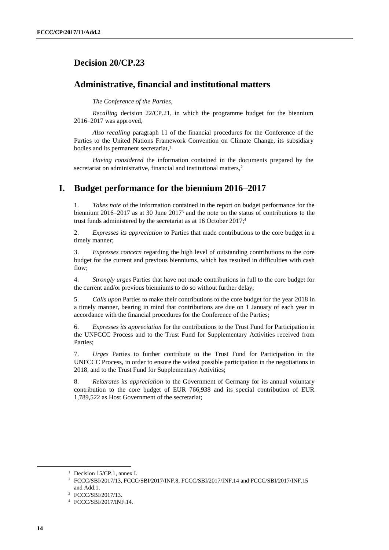# **Decision 20/CP.23**

# **Administrative, financial and institutional matters**

*The Conference of the Parties*,

*Recalling* decision 22/CP.21, in which the programme budget for the biennium 2016–2017 was approved,

*Also recalling* paragraph 11 of the financial procedures for the Conference of the Parties to the United Nations Framework Convention on Climate Change, its subsidiary bodies and its permanent secretariat.<sup>1</sup>

*Having considered* the information contained in the documents prepared by the secretariat on administrative, financial and institutional matters,<sup>2</sup>

# **I. Budget performance for the biennium 2016–2017**

*Takes note* of the information contained in the report on budget performance for the biennium 2016–2017 as at 30 June 2017<sup>3</sup> and the note on the status of contributions to the trust funds administered by the secretariat as at  $16$  October  $2017$ ;<sup>4</sup>

2. *Expresses its appreciation* to Parties that made contributions to the core budget in a timely manner;

3. *Expresses concern* regarding the high level of outstanding contributions to the core budget for the current and previous bienniums, which has resulted in difficulties with cash flow;

4. *Strongly urges* Parties that have not made contributions in full to the core budget for the current and/or previous bienniums to do so without further delay;

5. *Calls upon* Parties to make their contributions to the core budget for the year 2018 in a timely manner, bearing in mind that contributions are due on 1 January of each year in accordance with the financial procedures for the Conference of the Parties;

6. *Expresses its appreciation* for the contributions to the Trust Fund for Participation in the UNFCCC Process and to the Trust Fund for Supplementary Activities received from Parties;

7. *Urges* Parties to further contribute to the Trust Fund for Participation in the UNFCCC Process, in order to ensure the widest possible participation in the negotiations in 2018, and to the Trust Fund for Supplementary Activities;

8. *Reiterates its appreciation* to the Government of Germany for its annual voluntary contribution to the core budget of EUR 766,938 and its special contribution of EUR 1,789,522 as Host Government of the secretariat;

-

<sup>&</sup>lt;sup>1</sup> Decision 15/CP.1, annex I.

<sup>2</sup> FCCC/SBI/2017/13, FCCC/SBI/2017/INF.8, FCCC/SBI/2017/INF.14 and FCCC/SBI/2017/INF.15 and Add.1.

<sup>3</sup> FCCC/SBI/2017/13.

<sup>4</sup> FCCC/SBI/2017/INF.14.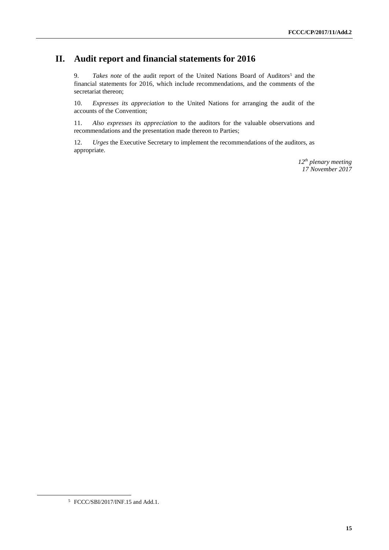# **II. Audit report and financial statements for 2016**

9. *Takes note* of the audit report of the United Nations Board of Auditors<sup>5</sup> and the financial statements for 2016, which include recommendations, and the comments of the secretariat thereon;

10. *Expresses its appreciation* to the United Nations for arranging the audit of the accounts of the Convention;

11. *Also expresses its appreciation* to the auditors for the valuable observations and recommendations and the presentation made thereon to Parties;

12. *Urges* the Executive Secretary to implement the recommendations of the auditors, as appropriate.

> *12th plenary meeting 17 November 2017*

 $\overline{a}$ 

<sup>5</sup> FCCC/SBI/2017/INF.15 and Add.1.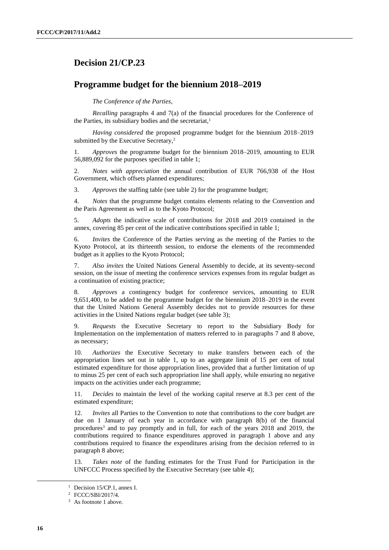# **Decision 21/CP.23**

## **Programme budget for the biennium 2018–2019**

*The Conference of the Parties*,

*Recalling* paragraphs 4 and 7(a) of the financial procedures for the Conference of the Parties, its subsidiary bodies and the secretariat.<sup>1</sup>

*Having considered* the proposed programme budget for the biennium 2018–2019 submitted by the Executive Secretary,<sup>2</sup>

1. *Approves* the programme budget for the biennium 2018–2019, amounting to EUR 56,889,092 for the purposes specified in table 1;

2. *Notes with appreciation* the annual contribution of EUR 766,938 of the Host Government, which offsets planned expenditures;

3. *Approves* the staffing table (see table 2) for the programme budget;

4. *Notes* that the programme budget contains elements relating to the Convention and the Paris Agreement as well as to the Kyoto Protocol;

5. *Adopts* the indicative scale of contributions for 2018 and 2019 contained in the annex, covering 85 per cent of the indicative contributions specified in table 1;

6. *Invites* the Conference of the Parties serving as the meeting of the Parties to the Kyoto Protocol, at its thirteenth session, to endorse the elements of the recommended budget as it applies to the Kyoto Protocol;

7. *Also invites* the United Nations General Assembly to decide, at its seventy-second session, on the issue of meeting the conference services expenses from its regular budget as a continuation of existing practice;

8. *Approves* a contingency budget for conference services, amounting to EUR 9,651,400, to be added to the programme budget for the biennium 2018–2019 in the event that the United Nations General Assembly decides not to provide resources for these activities in the United Nations regular budget (see table 3);

9. *Requests* the Executive Secretary to report to the Subsidiary Body for Implementation on the implementation of matters referred to in paragraphs 7 and 8 above, as necessary;

10. *Authorizes* the Executive Secretary to make transfers between each of the appropriation lines set out in table 1, up to an aggregate limit of 15 per cent of total estimated expenditure for those appropriation lines, provided that a further limitation of up to minus 25 per cent of each such appropriation line shall apply, while ensuring no negative impacts on the activities under each programme;

11. *Decides* to maintain the level of the working capital reserve at 8.3 per cent of the estimated expenditure;

12. *Invites* all Parties to the Convention to note that contributions to the core budget are due on 1 January of each year in accordance with paragraph 8(b) of the financial procedures<sup>3</sup> and to pay promptly and in full, for each of the years 2018 and 2019, the contributions required to finance expenditures approved in paragraph 1 above and any contributions required to finance the expenditures arising from the decision referred to in paragraph 8 above;

13. *Takes note* of the funding estimates for the Trust Fund for Participation in the UNFCCC Process specified by the Executive Secretary (see table 4);

-

<sup>&</sup>lt;sup>1</sup> Decision 15/CP.1, annex I.

<sup>2</sup> FCCC/SBI/2017/4.

<sup>&</sup>lt;sup>3</sup> As footnote 1 above.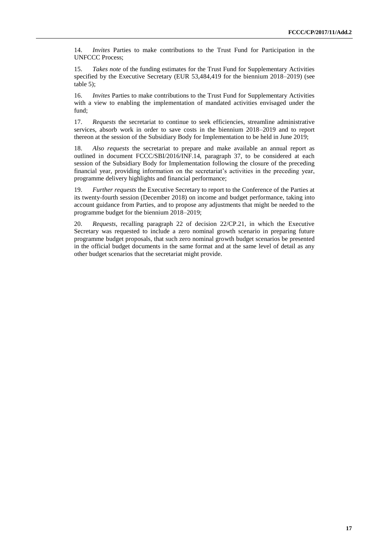14. *Invites* Parties to make contributions to the Trust Fund for Participation in the UNFCCC Process;

15. *Takes note* of the funding estimates for the Trust Fund for Supplementary Activities specified by the Executive Secretary (EUR 53,484,419 for the biennium 2018–2019) (see table 5);

16. *Invites* Parties to make contributions to the Trust Fund for Supplementary Activities with a view to enabling the implementation of mandated activities envisaged under the fund;

17. *Requests* the secretariat to continue to seek efficiencies, streamline administrative services, absorb work in order to save costs in the biennium 2018–2019 and to report thereon at the session of the Subsidiary Body for Implementation to be held in June 2019;

18. *Also requests* the secretariat to prepare and make available an annual report as outlined in document FCCC/SBI/2016/INF.14, paragraph 37, to be considered at each session of the Subsidiary Body for Implementation following the closure of the preceding financial year, providing information on the secretariat's activities in the preceding year, programme delivery highlights and financial performance;

19. *Further requests* the Executive Secretary to report to the Conference of the Parties at its twenty-fourth session (December 2018) on income and budget performance, taking into account guidance from Parties, and to propose any adjustments that might be needed to the programme budget for the biennium 2018–2019;

20. *Requests*, recalling paragraph 22 of decision 22/CP.21, in which the Executive Secretary was requested to include a zero nominal growth scenario in preparing future programme budget proposals, that such zero nominal growth budget scenarios be presented in the official budget documents in the same format and at the same level of detail as any other budget scenarios that the secretariat might provide.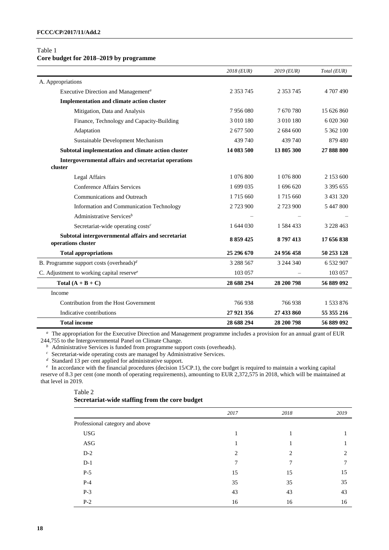## Table 1

# **Core budget for 2018–2019 by programme**

|                                                                          | 2018 (EUR)    | 2019 (EUR)    | Total (EUR)   |
|--------------------------------------------------------------------------|---------------|---------------|---------------|
| A. Appropriations                                                        |               |               |               |
| Executive Direction and Management <sup>a</sup>                          | 2 3 5 3 7 4 5 | 2 3 5 3 7 4 5 | 4 707 490     |
| <b>Implementation and climate action cluster</b>                         |               |               |               |
| Mitigation, Data and Analysis                                            | 7956080       | 7670780       | 15 626 860    |
| Finance, Technology and Capacity-Building                                | 3 010 180     | 3 010 180     | 6 020 360     |
| Adaptation                                                               | 2 677 500     | 2 684 600     | 5 362 100     |
| Sustainable Development Mechanism                                        | 439 740       | 439 740       | 879 480       |
| Subtotal implementation and climate action cluster                       | 14 083 500    | 13 805 300    | 27 888 800    |
| Intergovernmental affairs and secretariat operations<br>cluster          |               |               |               |
| Legal Affairs                                                            | 1 076 800     | 1 076 800     | 2 153 600     |
| <b>Conference Affairs Services</b>                                       | 1 699 035     | 1 696 620     | 3 3 9 5 6 5 5 |
| <b>Communications and Outreach</b>                                       | 1715 660      | 1 715 660     | 3 431 320     |
| Information and Communication Technology                                 | 2 723 900     | 2 723 900     | 5 447 800     |
| Administrative Services <sup>b</sup>                                     |               |               |               |
| Secretariat-wide operating $costs^c$                                     | 1 644 030     | 1 584 433     | 3 228 463     |
| Subtotal intergovernmental affairs and secretariat<br>operations cluster | 8 8 5 9 4 2 5 | 8797413       | 17 656 838    |
| <b>Total appropriations</b>                                              | 25 296 670    | 24 956 458    | 50 253 128    |
| B. Programme support costs (overheads) <sup>d</sup>                      | 3 288 567     | 3 244 340     | 6 532 907     |
| C. Adjustment to working capital reserve <sup>e</sup>                    | 103 057       |               | 103 057       |
| Total $(A + B + C)$                                                      | 28 688 294    | 28 200 798    | 56 889 092    |
| Income                                                                   |               |               |               |
| Contribution from the Host Government                                    | 766938        | 766938        | 1 533 876     |
| Indicative contributions                                                 | 27 921 356    | 27 433 860    | 55 355 216    |
| <b>Total income</b>                                                      | 28 688 294    | 28 200 798    | 56 889 092    |

*<sup>a</sup>*The appropriation for the Executive Direction and Management programme includes a provision for an annual grant of EUR 244,755 to the Intergovernmental Panel on Climate Change.

*b* Administrative Services is funded from programme support costs (overheads).

<sup>c</sup> Secretariat-wide operating costs are managed by Administrative Services.

*d* Standard 13 per cent applied for administrative support.

<sup>*e*</sup> In accordance with the financial procedures (decision 15/CP.1), the core budget is required to maintain a working capital reserve of 8.3 per cent (one month of operating requirements), amounting to EUR 2,372,575 in 2018, which will be maintained at that level in 2019.

### Table 2 **Secretariat-wide staffing from the core budget**

|                                 | 2017 | 2018 | 2019 |
|---------------------------------|------|------|------|
| Professional category and above |      |      |      |
| <b>USG</b>                      |      |      |      |
| ASG                             |      |      |      |
| $D-2$                           | 2    | 2    | 2    |
| $D-1$                           | 7    | 7    |      |
| $P-5$                           | 15   | 15   | 15   |
| $P-4$                           | 35   | 35   | 35   |
| $P-3$                           | 43   | 43   | 43   |
| $P-2$                           | 16   | 16   | 16   |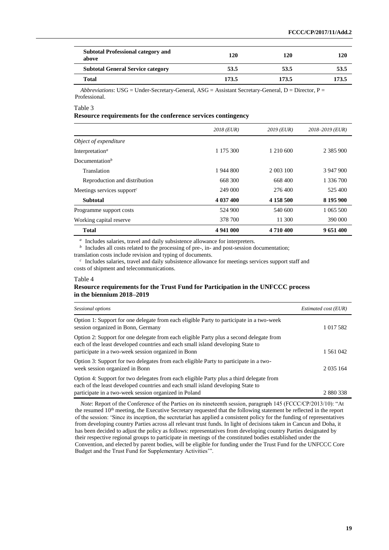| <b>Subtotal Professional category and</b><br>above | 120   | 120   | 120   |
|----------------------------------------------------|-------|-------|-------|
| <b>Subtotal General Service category</b>           | 53.5  | 53.5  | 53.5  |
| Total                                              | 173.5 | 173.5 | 173.5 |
|                                                    |       |       |       |

*Abbreviations*: USG = Under-Secretary-General, ASG = Assistant Secretary-General, D = Director, P = Professional.

#### Table 3

#### **Resource requirements for the conference services contingency**

|                                          | 2018 (EUR) | $2019$ (EUR) | $2018 - 2019$ (EUR) |
|------------------------------------------|------------|--------------|---------------------|
| Object of expenditure                    |            |              |                     |
| Interpretation <sup><math>a</math></sup> | 1 175 300  | 1 210 600    | 2 3 8 5 9 0 0       |
| Documentation <sup>b</sup>               |            |              |                     |
| Translation                              | 1 944 800  | 2 003 100    | 3 947 900           |
| Reproduction and distribution            | 668 300    | 668 400      | 1 336 700           |
| Meetings services support $\epsilon$     | 249 000    | 276,400      | 525 400             |
| <b>Subtotal</b>                          | 4 037 400  | 4 158 500    | 8 195 900           |
| Programme support costs                  | 524 900    | 540 600      | 1 065 500           |
| Working capital reserve                  | 378 700    | 11 300       | 390 000             |
| <b>Total</b>                             | 4 941 000  | 4710400      | 9 651 400           |

<sup>a</sup> Includes salaries, travel and daily subsistence allowance for interpreters.

 *Includes all costs related to the processing of pre-, in- and post-session documentation;* 

translation costs include revision and typing of documents.

*<sup>c</sup>*Includes salaries, travel and daily subsistence allowance for meetings services support staff and costs of shipment and telecommunications.

#### Table 4

#### **Resource requirements for the Trust Fund for Participation in the UNFCCC process in the biennium 2018–2019**

| Sessional options                                                                                                                                                                                                                   | Estimated cost (EUR) |
|-------------------------------------------------------------------------------------------------------------------------------------------------------------------------------------------------------------------------------------|----------------------|
| Option 1: Support for one delegate from each eligible Party to participate in a two-week<br>session organized in Bonn, Germany                                                                                                      | 1 017 582            |
| Option 2: Support for one delegate from each eligible Party plus a second delegate from<br>each of the least developed countries and each small island developing State to<br>participate in a two-week session organized in Bonn   | 1 561 042            |
| Option 3: Support for two delegates from each eligible Party to participate in a two-<br>week session organized in Bonn                                                                                                             | 2 0 3 5 1 6 4        |
| Option 4: Support for two delegates from each eligible Party plus a third delegate from<br>each of the least developed countries and each small island developing State to<br>participate in a two-week session organized in Poland | 2 880 338            |

*Note*: Report of the Conference of the Parties on its nineteenth session, paragraph 145 (FCCC/CP/2013/10): "At the resumed 10<sup>th</sup> meeting, the Executive Secretary requested that the following statement be reflected in the report of the session: 'Since its inception, the secretariat has applied a consistent policy for the funding of representatives from developing country Parties across all relevant trust funds. In light of decisions taken in Cancun and Doha, it has been decided to adjust the policy as follows: representatives from developing country Parties designated by their respective regional groups to participate in meetings of the constituted bodies established under the Convention, and elected by parent bodies, will be eligible for funding under the Trust Fund for the UNFCCC Core Budget and the Trust Fund for Supplementary Activities'".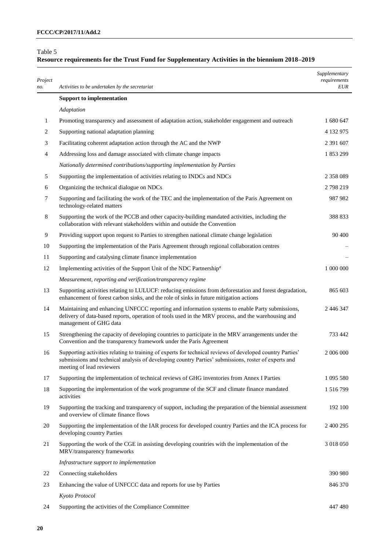### Table 5

# **Resource requirements for the Trust Fund for Supplementary Activities in the biennium 2018–2019**

| Project<br>no. | Activities to be undertaken by the secretariat                                                                                                                                                                                                 | Supplementary<br>requirements<br><b>EUR</b> |
|----------------|------------------------------------------------------------------------------------------------------------------------------------------------------------------------------------------------------------------------------------------------|---------------------------------------------|
|                | <b>Support to implementation</b>                                                                                                                                                                                                               |                                             |
|                | Adaptation                                                                                                                                                                                                                                     |                                             |
| $\mathbf{1}$   | Promoting transparency and assessment of adaptation action, stakeholder engagement and outreach                                                                                                                                                | 1 680 647                                   |
| 2              | Supporting national adaptation planning                                                                                                                                                                                                        | 4 132 975                                   |
| 3              | Facilitating coherent adaptation action through the AC and the NWP                                                                                                                                                                             | 2 391 607                                   |
| 4              | Addressing loss and damage associated with climate change impacts                                                                                                                                                                              | 1853299                                     |
|                | Nationally determined contributions/supporting implementation by Parties                                                                                                                                                                       |                                             |
| 5              | Supporting the implementation of activities relating to INDCs and NDCs                                                                                                                                                                         | 2 358 089                                   |
| 6              | Organizing the technical dialogue on NDCs                                                                                                                                                                                                      | 2798219                                     |
| 7              | Supporting and facilitating the work of the TEC and the implementation of the Paris Agreement on<br>technology-related matters                                                                                                                 | 987 982                                     |
| 8              | Supporting the work of the PCCB and other capacity-building mandated activities, including the<br>collaboration with relevant stakeholders within and outside the Convention                                                                   | 388 833                                     |
| 9              | Providing support upon request to Parties to strengthen national climate change legislation                                                                                                                                                    | 90 400                                      |
| 10             | Supporting the implementation of the Paris Agreement through regional collaboration centres                                                                                                                                                    |                                             |
| 11             | Supporting and catalysing climate finance implementation                                                                                                                                                                                       |                                             |
| 12             | Implementing activities of the Support Unit of the NDC Partnership <sup>a</sup>                                                                                                                                                                | 1 000 000                                   |
|                | Measurement, reporting and verification/transparency regime                                                                                                                                                                                    |                                             |
| 13             | Supporting activities relating to LULUCF: reducing emissions from deforestation and forest degradation,<br>enhancement of forest carbon sinks, and the role of sinks in future mitigation actions                                              | 865 603                                     |
| 14             | Maintaining and enhancing UNFCCC reporting and information systems to enable Party submissions,<br>delivery of data-based reports, operation of tools used in the MRV process, and the warehousing and<br>management of GHG data               | 2 446 347                                   |
| 15             | Strengthening the capacity of developing countries to participate in the MRV arrangements under the<br>Convention and the transparency framework under the Paris Agreement                                                                     | 733 442                                     |
| 16             | Supporting activities relating to training of experts for technical reviews of developed country Parties'<br>submissions and technical analysis of developing country Parties' submissions, roster of experts and<br>meeting of lead reviewers | 2 006 000                                   |
| 17             | Supporting the implementation of technical reviews of GHG inventories from Annex I Parties                                                                                                                                                     | 1 095 580                                   |
| 18             | Supporting the implementation of the work programme of the SCF and climate finance mandated<br>activities                                                                                                                                      | 1 516 799                                   |
| 19             | Supporting the tracking and transparency of support, including the preparation of the biennial assessment<br>and overview of climate finance flows                                                                                             | 192 100                                     |
| 20             | Supporting the implementation of the IAR process for developed country Parties and the ICA process for<br>developing country Parties                                                                                                           | 2 400 295                                   |
| 21             | Supporting the work of the CGE in assisting developing countries with the implementation of the<br>MRV/transparency frameworks                                                                                                                 | 3 018 050                                   |
|                | Infrastructure support to implementation                                                                                                                                                                                                       |                                             |
| 22             | Connecting stakeholders                                                                                                                                                                                                                        | 390 980                                     |
| 23             | Enhancing the value of UNFCCC data and reports for use by Parties                                                                                                                                                                              | 846 370                                     |
|                | Kyoto Protocol                                                                                                                                                                                                                                 |                                             |
| 24             | Supporting the activities of the Compliance Committee                                                                                                                                                                                          | 447 480                                     |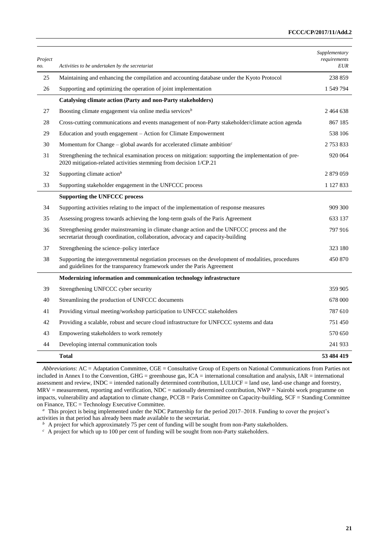| Project<br>no. | Activities to be undertaken by the secretariat                                                                                                                                 | Supplementary<br>requirements<br><b>EUR</b> |
|----------------|--------------------------------------------------------------------------------------------------------------------------------------------------------------------------------|---------------------------------------------|
| 25             | Maintaining and enhancing the compilation and accounting database under the Kyoto Protocol                                                                                     | 238 859                                     |
| 26             | Supporting and optimizing the operation of joint implementation                                                                                                                | 1 549 794                                   |
|                | Catalysing climate action (Party and non-Party stakeholders)                                                                                                                   |                                             |
| 27             | Boosting climate engagement via online media services <sup>b</sup>                                                                                                             | 2464638                                     |
| 28             | Cross-cutting communications and events management of non-Party stakeholder/climate action agenda                                                                              | 867 185                                     |
| 29             | Education and youth engagement – Action for Climate Empowerment                                                                                                                | 538 106                                     |
| 30             | Momentum for Change – global awards for accelerated climate ambition <sup><math>c</math></sup>                                                                                 | 2 753 833                                   |
| 31             | Strengthening the technical examination process on mitigation: supporting the implementation of pre-<br>2020 mitigation-related activities stemming from decision 1/CP.21      | 920 064                                     |
| 32             | Supporting climate $actionb$                                                                                                                                                   | 2 879 059                                   |
| 33             | Supporting stakeholder engagement in the UNFCCC process                                                                                                                        | 1 127 833                                   |
|                | <b>Supporting the UNFCCC process</b>                                                                                                                                           |                                             |
| 34             | Supporting activities relating to the impact of the implementation of response measures                                                                                        | 909 300                                     |
| 35             | Assessing progress towards achieving the long-term goals of the Paris Agreement                                                                                                | 633 137                                     |
| 36             | Strengthening gender mainstreaming in climate change action and the UNFCCC process and the<br>secretariat through coordination, collaboration, advocacy and capacity-building  | 797 916                                     |
| 37             | Strengthening the science-policy interface                                                                                                                                     | 323 180                                     |
| 38             | Supporting the intergovernmental negotiation processes on the development of modalities, procedures<br>and guidelines for the transparency framework under the Paris Agreement | 450 870                                     |
|                | Modernizing information and communication technology infrastructure                                                                                                            |                                             |
| 39             | Strengthening UNFCCC cyber security                                                                                                                                            | 359 905                                     |
| 40             | Streamlining the production of UNFCCC documents                                                                                                                                | 678 000                                     |
| 41             | Providing virtual meeting/workshop participation to UNFCCC stakeholders                                                                                                        | 787 610                                     |
| 42             | Providing a scalable, robust and secure cloud infrastructure for UNFCCC systems and data                                                                                       | 751450                                      |
| 43             | Empowering stakeholders to work remotely                                                                                                                                       | 570 650                                     |
| 44             | Developing internal communication tools                                                                                                                                        | 241 933                                     |
|                | <b>Total</b>                                                                                                                                                                   | 53 484 419                                  |

*Abbreviations*: AC = Adaptation Committee, CGE = Consultative Group of Experts on National Communications from Parties not included in Annex I to the Convention, GHG = greenhouse gas,  $ICA =$  international consultation and analysis,  $IAR =$  international assessment and review, INDC = intended nationally determined contribution, LULUCF = land use, land-use change and forestry, MRV = measurement, reporting and verification, NDC = nationally determined contribution, NWP = Nairobi work programme on impacts, vulnerability and adaptation to climate change, PCCB = Paris Committee on Capacity-building, SCF = Standing Committee on Finance, TEC = Technology Executive Committee.

<sup>a</sup> This project is being implemented under the NDC Partnership for the period 2017–2018. Funding to cover the project's activities in that period has already been made available to the secretariat.

*b* A project for which approximately 75 per cent of funding will be sought from non-Party stakeholders.

<sup>c</sup> A project for which up to 100 per cent of funding will be sought from non-Party stakeholders.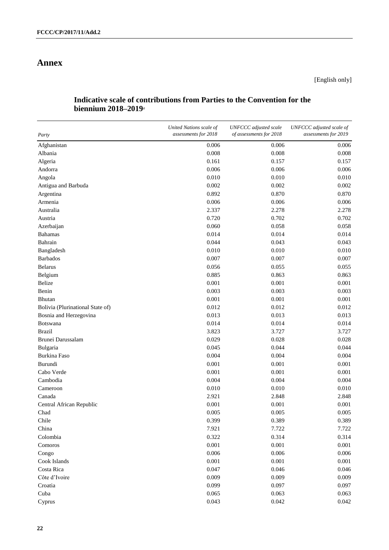# **Annex**

# **Indicative scale of contributions from Parties to the Convention for the biennium 2018–2019***<sup>a</sup>*

| Party                            | United Nations scale of<br>assessments for 2018 | UNFCCC adjusted scale<br>of assessments for 2018 | UNFCCC adjusted scale of<br>assessments for 2019 |
|----------------------------------|-------------------------------------------------|--------------------------------------------------|--------------------------------------------------|
| Afghanistan                      | 0.006                                           | 0.006                                            | 0.006                                            |
| Albania                          | 0.008                                           | 0.008                                            | 0.008                                            |
| Algeria                          | 0.161                                           | 0.157                                            | 0.157                                            |
| Andorra                          | 0.006                                           | 0.006                                            | 0.006                                            |
| Angola                           | 0.010                                           | 0.010                                            | 0.010                                            |
| Antigua and Barbuda              | 0.002                                           | 0.002                                            | 0.002                                            |
| Argentina                        | 0.892                                           | 0.870                                            | 0.870                                            |
| Armenia                          | 0.006                                           | 0.006                                            | 0.006                                            |
| Australia                        | 2.337                                           | 2.278                                            | 2.278                                            |
| Austria                          | 0.720                                           | 0.702                                            | 0.702                                            |
| Azerbaijan                       | 0.060                                           | 0.058                                            | 0.058                                            |
| <b>Bahamas</b>                   | 0.014                                           | 0.014                                            | 0.014                                            |
| Bahrain                          | 0.044                                           | 0.043                                            | 0.043                                            |
| Bangladesh                       | 0.010                                           | 0.010                                            | 0.010                                            |
| <b>Barbados</b>                  | 0.007                                           | 0.007                                            | 0.007                                            |
| <b>Belarus</b>                   | 0.056                                           | 0.055                                            | 0.055                                            |
| Belgium                          | 0.885                                           | 0.863                                            | 0.863                                            |
| Belize                           | 0.001                                           | 0.001                                            | 0.001                                            |
| Benin                            | 0.003                                           | 0.003                                            | 0.003                                            |
| <b>Bhutan</b>                    | 0.001                                           | 0.001                                            | 0.001                                            |
| Bolivia (Plurinational State of) | 0.012                                           | 0.012                                            | 0.012                                            |
| Bosnia and Herzegovina           | 0.013                                           | 0.013                                            | 0.013                                            |
| <b>Botswana</b>                  | 0.014                                           | 0.014                                            | 0.014                                            |
| <b>Brazil</b>                    | 3.823                                           | 3.727                                            | 3.727                                            |
| Brunei Darussalam                | 0.029                                           | 0.028                                            | 0.028                                            |
| Bulgaria                         | 0.045                                           | 0.044                                            | 0.044                                            |
| <b>Burkina Faso</b>              | 0.004                                           | 0.004                                            | 0.004                                            |
| Burundi                          | 0.001                                           | 0.001                                            | 0.001                                            |
| Cabo Verde                       | 0.001                                           | 0.001                                            | 0.001                                            |
| Cambodia                         | 0.004                                           | 0.004                                            | 0.004                                            |
| Cameroon                         | 0.010                                           | 0.010                                            | 0.010                                            |
| Canada                           | 2.921                                           | 2.848                                            | 2.848                                            |
| Central African Republic         | 0.001                                           | 0.001                                            | 0.001                                            |
| Chad                             | 0.005                                           | 0.005                                            | 0.005                                            |
| Chile                            | 0.399                                           | 0.389                                            | 0.389                                            |
| China                            | 7.921                                           | 7.722                                            | 7.722                                            |
| Colombia                         | 0.322                                           | 0.314                                            | 0.314                                            |
| Comoros                          | 0.001                                           | 0.001                                            | 0.001                                            |
| Congo                            | 0.006                                           | 0.006                                            | 0.006                                            |
| Cook Islands                     | 0.001                                           | 0.001                                            | 0.001                                            |
| Costa Rica                       | 0.047                                           | 0.046                                            | 0.046                                            |
| Côte d'Ivoire                    | 0.009                                           | 0.009                                            | 0.009                                            |
| Croatia                          | 0.099                                           | 0.097                                            | 0.097                                            |
| Cuba                             | 0.065                                           | 0.063                                            | 0.063                                            |
| Cyprus                           | 0.043                                           | 0.042                                            | 0.042                                            |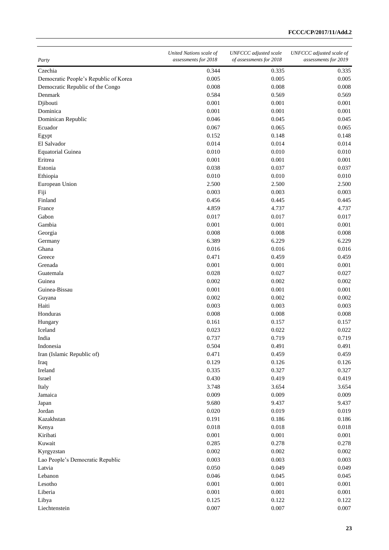| Party                                 | United Nations scale of<br>assessments for 2018 | <b>UNFCCC</b> adjusted scale<br>of assessments for 2018 | UNFCCC adjusted scale of<br>assessments for 2019 |
|---------------------------------------|-------------------------------------------------|---------------------------------------------------------|--------------------------------------------------|
| Czechia                               | 0.344                                           | 0.335                                                   | 0.335                                            |
| Democratic People's Republic of Korea | 0.005                                           | 0.005                                                   | 0.005                                            |
| Democratic Republic of the Congo      | 0.008                                           | 0.008                                                   | 0.008                                            |
| Denmark                               | 0.584                                           | 0.569                                                   | 0.569                                            |
| Djibouti                              | 0.001                                           | 0.001                                                   | 0.001                                            |
| Dominica                              | 0.001                                           | 0.001                                                   | 0.001                                            |
| Dominican Republic                    | 0.046                                           | 0.045                                                   | 0.045                                            |
| Ecuador                               | 0.067                                           | 0.065                                                   | 0.065                                            |
| Egypt                                 | 0.152                                           | 0.148                                                   | 0.148                                            |
| El Salvador                           | 0.014                                           | 0.014                                                   | 0.014                                            |
| <b>Equatorial Guinea</b>              | 0.010                                           | 0.010                                                   | 0.010                                            |
| Eritrea                               | 0.001                                           | 0.001                                                   | 0.001                                            |
| Estonia                               | 0.038                                           | 0.037                                                   | 0.037                                            |
| Ethiopia                              | 0.010                                           | 0.010                                                   | 0.010                                            |
| European Union                        | 2.500                                           | 2.500                                                   | 2.500                                            |
| Fiji                                  | 0.003                                           | 0.003                                                   | 0.003                                            |
| Finland                               | 0.456                                           | 0.445                                                   | 0.445                                            |
| France                                | 4.859                                           | 4.737                                                   | 4.737                                            |
| Gabon                                 | 0.017                                           | 0.017                                                   | 0.017                                            |
| Gambia                                | 0.001                                           | 0.001                                                   | 0.001                                            |
| Georgia                               | 0.008                                           | 0.008                                                   | 0.008                                            |
| Germany                               | 6.389                                           | 6.229                                                   | 6.229                                            |
| Ghana                                 | 0.016                                           | 0.016                                                   | 0.016                                            |
| Greece                                | 0.471                                           | 0.459                                                   | 0.459                                            |
| Grenada                               | 0.001                                           | 0.001                                                   | 0.001                                            |
| Guatemala                             | 0.028                                           | 0.027                                                   | 0.027                                            |
| Guinea                                | 0.002                                           | 0.002                                                   | 0.002                                            |
| Guinea-Bissau                         | 0.001                                           | 0.001                                                   | 0.001                                            |
| Guyana                                | 0.002                                           | 0.002                                                   | 0.002                                            |
| Haiti                                 | 0.003                                           | 0.003                                                   | 0.003                                            |
| Honduras                              | 0.008                                           | 0.008                                                   | 0.008                                            |
| Hungary                               | 0.161                                           | 0.157                                                   | 0.157                                            |
| Iceland                               | 0.023                                           | 0.022                                                   | 0.022                                            |
| India                                 | 0.737                                           | 0.719                                                   | 0.719                                            |
| Indonesia                             | 0.504                                           | 0.491                                                   | 0.491                                            |
| Iran (Islamic Republic of)            | 0.471                                           | 0.459                                                   | 0.459                                            |
| Iraq                                  | 0.129                                           | 0.126                                                   | 0.126                                            |
| Ireland                               | 0.335                                           | 0.327                                                   | 0.327                                            |
| Israel                                | 0.430                                           | 0.419                                                   | 0.419                                            |
| Italy                                 | 3.748                                           | 3.654                                                   | 3.654                                            |
| Jamaica                               | 0.009                                           | 0.009                                                   | 0.009                                            |
| Japan                                 | 9.680                                           | 9.437                                                   | 9.437                                            |
| Jordan                                | 0.020                                           | 0.019                                                   | 0.019                                            |
| Kazakhstan                            | 0.191                                           | 0.186                                                   | 0.186                                            |
| Kenya                                 | 0.018                                           | 0.018                                                   | 0.018                                            |
| Kiribati                              | 0.001                                           | 0.001                                                   | 0.001                                            |
| Kuwait                                | 0.285                                           | 0.278                                                   | 0.278                                            |
| Kyrgyzstan                            | 0.002                                           | 0.002                                                   | 0.002                                            |
| Lao People's Democratic Republic      | 0.003                                           | 0.003                                                   | 0.003                                            |
| Latvia                                | 0.050                                           | 0.049                                                   | 0.049                                            |
| Lebanon                               | 0.046                                           | 0.045                                                   | 0.045                                            |
| Lesotho                               | 0.001                                           | 0.001                                                   | 0.001                                            |
| Liberia                               | 0.001                                           | 0.001                                                   | 0.001                                            |
| Libya                                 | 0.125                                           | 0.122                                                   | 0.122                                            |
| Liechtenstein                         | 0.007                                           | 0.007                                                   | 0.007                                            |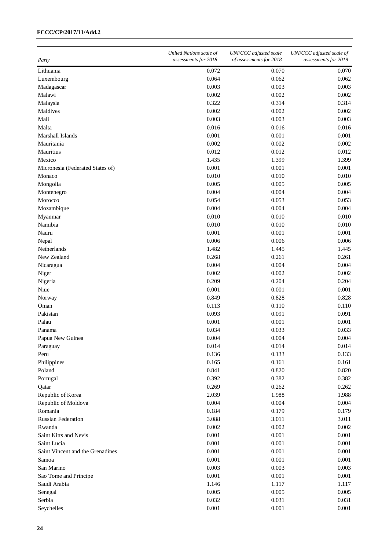## **FCCC/CP/2017/11/Add.2**

| Party                            | United Nations scale of<br>assessments for 2018 | UNFCCC adjusted scale<br>of assessments for 2018 | UNFCCC adjusted scale of<br>assessments for 2019 |
|----------------------------------|-------------------------------------------------|--------------------------------------------------|--------------------------------------------------|
| Lithuania                        | 0.072                                           | 0.070                                            | 0.070                                            |
| Luxembourg                       | 0.064                                           | 0.062                                            | 0.062                                            |
| Madagascar                       | 0.003                                           | 0.003                                            | 0.003                                            |
| Malawi                           | 0.002                                           | 0.002                                            | 0.002                                            |
| Malaysia                         | 0.322                                           | 0.314                                            | 0.314                                            |
| Maldives                         | 0.002                                           | 0.002                                            | 0.002                                            |
| Mali                             | 0.003                                           | 0.003                                            | 0.003                                            |
| Malta                            | 0.016                                           | 0.016                                            | 0.016                                            |
| Marshall Islands                 | 0.001                                           | 0.001                                            | 0.001                                            |
| Mauritania                       | 0.002                                           | 0.002                                            | 0.002                                            |
| Mauritius                        | 0.012                                           | 0.012                                            | 0.012                                            |
| Mexico                           | 1.435                                           | 1.399                                            | 1.399                                            |
| Micronesia (Federated States of) | 0.001                                           | 0.001                                            | 0.001                                            |
| Monaco                           | 0.010                                           | 0.010                                            | 0.010                                            |
| Mongolia                         | 0.005                                           | 0.005                                            | 0.005                                            |
| Montenegro                       | 0.004                                           | 0.004                                            | 0.004                                            |
| Morocco                          | 0.054                                           | 0.053                                            | 0.053                                            |
| Mozambique                       | 0.004                                           | 0.004                                            | 0.004                                            |
| Myanmar                          | 0.010                                           | 0.010                                            | 0.010                                            |
| Namibia                          | 0.010                                           | 0.010                                            | 0.010                                            |
|                                  | 0.001                                           |                                                  |                                                  |
| Nauru                            |                                                 | 0.001                                            | 0.001                                            |
| Nepal                            | 0.006                                           | 0.006                                            | 0.006                                            |
| Netherlands                      | 1.482                                           | 1.445                                            | 1.445                                            |
| New Zealand                      | 0.268                                           | 0.261                                            | 0.261                                            |
| Nicaragua                        | 0.004                                           | 0.004                                            | 0.004                                            |
| Niger                            | 0.002                                           | 0.002                                            | 0.002                                            |
| Nigeria                          | 0.209                                           | 0.204                                            | 0.204                                            |
| Niue                             | 0.001                                           | 0.001                                            | 0.001                                            |
| Norway                           | 0.849                                           | 0.828                                            | 0.828                                            |
| Oman                             | 0.113                                           | 0.110                                            | 0.110                                            |
| Pakistan                         | 0.093                                           | 0.091                                            | 0.091                                            |
| Palau                            | 0.001                                           | 0.001                                            | 0.001                                            |
| Panama                           | 0.034                                           | 0.033                                            | 0.033                                            |
| Papua New Guinea                 | 0.004                                           | 0.004                                            | 0.004                                            |
| Paraguay                         | 0.014                                           | 0.014                                            | 0.014                                            |
| Peru                             | 0.136                                           | 0.133                                            | 0.133                                            |
| Philippines                      | 0.165                                           | 0.161                                            | 0.161                                            |
| Poland                           | 0.841                                           | 0.820                                            | 0.820                                            |
| Portugal                         | 0.392                                           | 0.382                                            | 0.382                                            |
| Qatar                            | 0.269                                           | 0.262                                            | 0.262                                            |
| Republic of Korea                | 2.039                                           | 1.988                                            | 1.988                                            |
| Republic of Moldova              | 0.004                                           | 0.004                                            | 0.004                                            |
| Romania                          | 0.184                                           | 0.179                                            | 0.179                                            |
| Russian Federation               | 3.088                                           | 3.011                                            | 3.011                                            |
| Rwanda                           | 0.002                                           | 0.002                                            | 0.002                                            |
| Saint Kitts and Nevis            | 0.001                                           | 0.001                                            | 0.001                                            |
| Saint Lucia                      | 0.001                                           | 0.001                                            | 0.001                                            |
| Saint Vincent and the Grenadines | 0.001                                           | 0.001                                            | 0.001                                            |
| Samoa                            | 0.001                                           | 0.001                                            | 0.001                                            |
| San Marino                       | 0.003                                           | 0.003                                            | 0.003                                            |
| Sao Tome and Principe            | 0.001                                           | 0.001                                            | 0.001                                            |
| Saudi Arabia                     | 1.146                                           | 1.117                                            | 1.117                                            |
| Senegal                          | 0.005                                           | 0.005                                            | 0.005                                            |
| Serbia                           | 0.032                                           | 0.031                                            | 0.031                                            |
| Seychelles                       | 0.001                                           | 0.001                                            | 0.001                                            |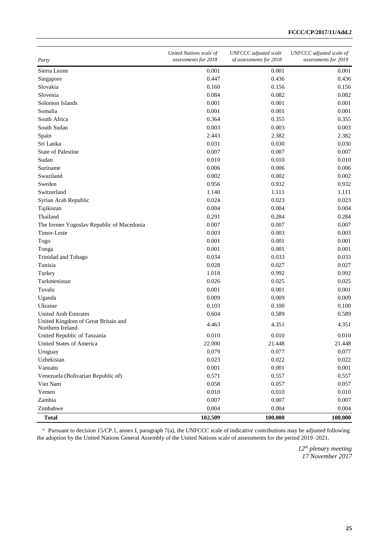| Party                                                   | United Nations scale of<br>assessments for 2018 | <b>UNFCCC</b> adjusted scale<br>of assessments for 2018 | UNFCCC adjusted scale of<br>assessments for 2019 |
|---------------------------------------------------------|-------------------------------------------------|---------------------------------------------------------|--------------------------------------------------|
| Sierra Leone                                            | 0.001                                           | 0.001                                                   | 0.001                                            |
| Singapore                                               | 0.447                                           | 0.436                                                   | 0.436                                            |
| Slovakia                                                | 0.160                                           | 0.156                                                   | 0.156                                            |
| Slovenia                                                | 0.084                                           | 0.082                                                   | 0.082                                            |
| Solomon Islands                                         | 0.001                                           | 0.001                                                   | 0.001                                            |
| Somalia                                                 | 0.001                                           | 0.001                                                   | 0.001                                            |
| South Africa                                            | 0.364                                           | 0.355                                                   | 0.355                                            |
| South Sudan                                             | 0.003                                           | 0.003                                                   | 0.003                                            |
| Spain                                                   | 2.443                                           | 2.382                                                   | 2.382                                            |
| Sri Lanka                                               | 0.031                                           | 0.030                                                   | 0.030                                            |
| <b>State of Palestine</b>                               | 0.007                                           | 0.007                                                   | 0.007                                            |
| Sudan                                                   | 0.010                                           | 0.010                                                   | 0.010                                            |
| Suriname                                                | 0.006                                           | 0.006                                                   | 0.006                                            |
| Swaziland                                               | 0.002                                           | 0.002                                                   | 0.002                                            |
| Sweden                                                  | 0.956                                           | 0.932                                                   | 0.932                                            |
| Switzerland                                             | 1.140                                           | 1.111                                                   | 1.111                                            |
| Syrian Arab Republic                                    | 0.024                                           | 0.023                                                   | 0.023                                            |
| Tajikistan                                              | 0.004                                           | 0.004                                                   | 0.004                                            |
| Thailand                                                | 0.291                                           | 0.284                                                   | 0.284                                            |
| The former Yugoslav Republic of Macedonia               | 0.007                                           | 0.007                                                   | 0.007                                            |
| Timor-Leste                                             | 0.003                                           | 0.003                                                   | 0.003                                            |
| Togo                                                    | 0.001                                           | 0.001                                                   | 0.001                                            |
| Tonga                                                   | 0.001                                           | 0.001                                                   | 0.001                                            |
| Trinidad and Tobago                                     | 0.034                                           | 0.033                                                   | 0.033                                            |
| Tunisia                                                 | 0.028                                           | 0.027                                                   | 0.027                                            |
| Turkey                                                  | 1.018                                           | 0.992                                                   | 0.992                                            |
| Turkmenistan                                            | 0.026                                           | 0.025                                                   | 0.025                                            |
| Tuvalu                                                  | 0.001                                           | 0.001                                                   | 0.001                                            |
| Uganda                                                  | 0.009                                           | 0.009                                                   | 0.009                                            |
| Ukraine                                                 | 0.103                                           | 0.100                                                   | 0.100                                            |
| <b>United Arab Emirates</b>                             | 0.604                                           | 0.589                                                   | 0.589                                            |
| United Kingdom of Great Britain and<br>Northern Ireland | 4.463                                           | 4.351                                                   | 4.351                                            |
| United Republic of Tanzania                             | 0.010                                           | 0.010                                                   | 0.010                                            |
| United States of America                                | 22.000                                          | 21.448                                                  | 21.448                                           |
| Uruguay                                                 | 0.079                                           | 0.077                                                   | 0.077                                            |
| Uzbekistan                                              | 0.023                                           | 0.022                                                   | 0.022                                            |
| Vanuatu                                                 | 0.001                                           | 0.001                                                   | 0.001                                            |
| Venezuela (Bolivarian Republic of)                      | 0.571                                           | 0.557                                                   | 0.557                                            |
| Viet Nam                                                | 0.058                                           | 0.057                                                   | 0.057                                            |
| Yemen                                                   | 0.010                                           | 0.010                                                   | 0.010                                            |
| Zambia                                                  | 0.007                                           | 0.007                                                   | 0.007                                            |
| Zimbabwe                                                | 0.004                                           | 0.004                                                   | 0.004                                            |
| <b>Total</b>                                            | 102.509                                         | 100.000                                                 | 100.000                                          |

<sup>a</sup> Pursuant to decision 15/CP.1, annex I, paragraph 7(a), the UNFCCC scale of indicative contributions may be adjusted following the adoption by the United Nations General Assembly of the United Nations scale of assessments for the period 2019–2021.

> *12th plenary meeting 17 November 2017*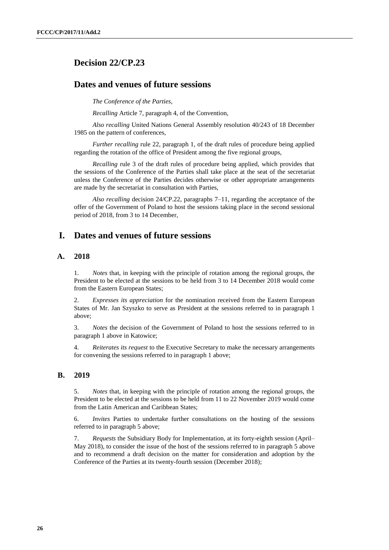# **Decision 22/CP.23**

# **Dates and venues of future sessions**

*The Conference of the Parties*,

*Recalling* Article 7, paragraph 4, of the Convention,

*Also recalling* United Nations General Assembly resolution 40/243 of 18 December 1985 on the pattern of conferences,

*Further recalling* rule 22, paragraph 1, of the draft rules of procedure being applied regarding the rotation of the office of President among the five regional groups,

*Recalling* rule 3 of the draft rules of procedure being applied, which provides that the sessions of the Conference of the Parties shall take place at the seat of the secretariat unless the Conference of the Parties decides otherwise or other appropriate arrangements are made by the secretariat in consultation with Parties,

*Also recalling* decision 24/CP.22, paragraphs 7–11, regarding the acceptance of the offer of the Government of Poland to host the sessions taking place in the second sessional period of 2018, from 3 to 14 December,

# **I. Dates and venues of future sessions**

## **A. 2018**

1. *Notes* that, in keeping with the principle of rotation among the regional groups, the President to be elected at the sessions to be held from 3 to 14 December 2018 would come from the Eastern European States;

2. *Expresses its appreciation* for the nomination received from the Eastern European States of Mr. Jan Szyszko to serve as President at the sessions referred to in paragraph 1 above;

3. *Notes* the decision of the Government of Poland to host the sessions referred to in paragraph 1 above in Katowice;

4. *Reiterates its request* to the Executive Secretary to make the necessary arrangements for convening the sessions referred to in paragraph 1 above;

## **B. 2019**

5. *Notes* that, in keeping with the principle of rotation among the regional groups, the President to be elected at the sessions to be held from 11 to 22 November 2019 would come from the Latin American and Caribbean States;

6. *Invites* Parties to undertake further consultations on the hosting of the sessions referred to in paragraph 5 above;

7. *Requests* the Subsidiary Body for Implementation, at its forty-eighth session (April– May 2018), to consider the issue of the host of the sessions referred to in paragraph 5 above and to recommend a draft decision on the matter for consideration and adoption by the Conference of the Parties at its twenty-fourth session (December 2018);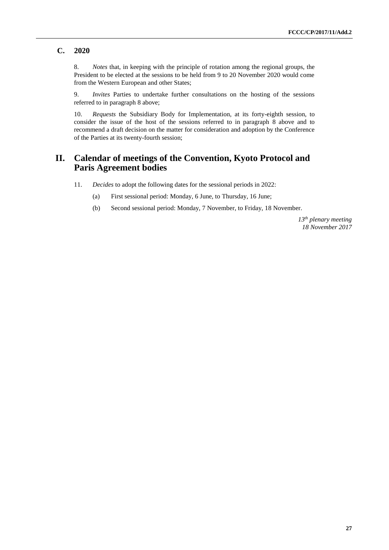## **C. 2020**

8. *Notes* that, in keeping with the principle of rotation among the regional groups, the President to be elected at the sessions to be held from 9 to 20 November 2020 would come from the Western European and other States;

9. *Invites* Parties to undertake further consultations on the hosting of the sessions referred to in paragraph 8 above;

10. *Requests* the Subsidiary Body for Implementation, at its forty-eighth session, to consider the issue of the host of the sessions referred to in paragraph 8 above and to recommend a draft decision on the matter for consideration and adoption by the Conference of the Parties at its twenty-fourth session;

# **II. Calendar of meetings of the Convention, Kyoto Protocol and Paris Agreement bodies**

- 11. *Decides* to adopt the following dates for the sessional periods in 2022:
	- (a) First sessional period: Monday, 6 June, to Thursday, 16 June;
	- (b) Second sessional period: Monday, 7 November, to Friday, 18 November.

*13th plenary meeting 18 November 2017*